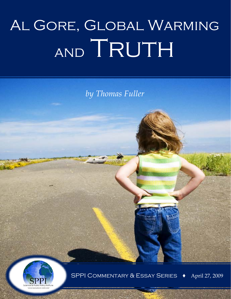## Al Gore, Global Warming AND TRUTH

*by Thomas Fuller*



SPPI Commentary & Essay Series **!** April 27, 2009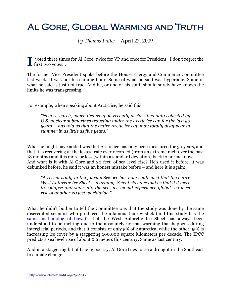## Al Gore, Global Warming and Truth

*by Thomas Fuller |* April 27, 2009

voted three times for Al Gore, twice for VP and once for President. I don't regret the  $\prod$  voted three tim<br>first two votes...

The former Vice President spoke before the House Energy and Commerce Committee last week. It was not his shining hour. Some of what he said was hyperbole. Some of what he said is just not true. And he, or one of his staff, should surely have known the limits he was transgressing.

For example, when speaking about Arctic ice, he said this:

*"New research, which draws upon recently declassified data collected by U.S. nuclear submarines traveling under the Arctic ice cap for the last 50 years ... has told us that the entire Arctic ice cap may totally disappear in summer in as little as five years."*

What he might have added was that Arctic ice has only been measured for 30 years, and that it is recovering at the fastest rate ever recorded (from an extreme melt over the past 18 months) and it is more or less (within a standard deviation) back to normal now. And what is it with Al Gore and 20 feet of sea level rise? He's used it before, it was debunked before, he said it was an honest mistake before – and here it is again:

*"A recent study in the journal* Science *has now confirmed that the entire West Antarctic Ice Sheet is warming. Scientists have told us that if it were to collapse and slide into the sea, we would experience global sea level rise of another 20 feet worldwide."*

What he didn't bother to tell the Committee was that the study was done by the same discredited scientist who produced the infamous hockey stick (and this study has the same methodological flaws)<sup>1</sup>, that the West Antarctic Ice Sheet has always been understood to be melting due to the absolutely normal warming that happens during interglacial periods, and that it consists of only 5% of Antarctica, while the other 95% is increasing ice cover by a staggering 100,000 square kilometers per decade. The IPCC predicts a sea level rise of about 0.6 meters this century. Same as last century.

And in a staggering bit of true hypocrisy, Al Gore tries to tie a drought in the Southeast to climate change:

<span id="page-1-0"></span> $1 \text{ http://www.climateaudit.org/?p=5617.}$  $1 \text{ http://www.climateaudit.org/?p=5617.}$  $1 \text{ http://www.climateaudit.org/?p=5617.}$